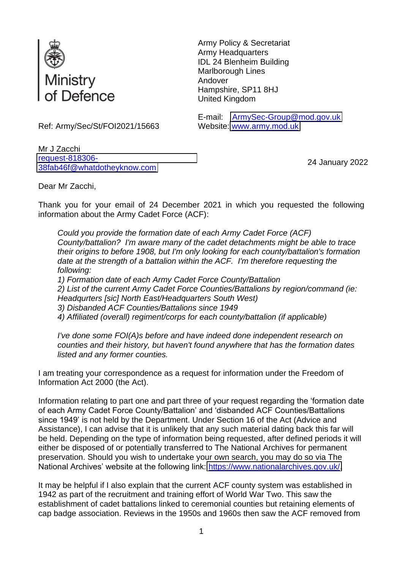

Army Policy & Secretariat Army Headquarters IDL 24 Blenheim Building Marlborough Lines Andover Hampshire, SP11 8HJ United Kingdom

Website: [www.army.mod.uk](http://www.army.mod.uk/)

E-mail: [ArmySec-Group@mod.gov.uk](mailto:xxxxxxxxxxxxx@xxx.xxx.xx)

Ref: Army/Sec/St/FOI2021/15663

Mr J Zacchi [request-818306-](mailto:xxxxxxxxxxxxxxxxxxxxxxx@xxxxxxxxxxxxxx.xxx) [38fab46f@whatdotheyknow.com](mailto:xxxxxxxxxxxxxxxxxxxxxxx@xxxxxxxxxxxxxx.xxx) <sup>24</sup> January 2022

Dear Mr Zacchi,

Thank you for your email of 24 December 2021 in which you requested the following information about the Army Cadet Force (ACF):

*Could you provide the formation date of each Army Cadet Force (ACF) County/battalion? I'm aware many of the cadet detachments might be able to trace their origins to before 1908, but I'm only looking for each county/battalion's formation date at the strength of a battalion within the ACF. I'm therefore requesting the following:*

*1) Formation date of each Army Cadet Force County/Battalion*

*2) List of the current Army Cadet Force Counties/Battalions by region/command (ie: Headqurters [sic] North East/Headquarters South West)*

*3) Disbanded ACF Counties/Battalions since 1949*

*4) Affiliated (overall) regiment/corps for each county/battalion (if applicable)*

*I've done some FOI(A)s before and have indeed done independent research on counties and their history, but haven't found anywhere that has the formation dates listed and any former counties.*

I am treating your correspondence as a request for information under the Freedom of Information Act 2000 (the Act).

Information relating to part one and part three of your request regarding the 'formation date of each Army Cadet Force County/Battalion' and 'disbanded ACF Counties/Battalions since 1949' is not held by the Department. Under Section 16 of the Act (Advice and Assistance), I can advise that it is unlikely that any such material dating back this far will be held. Depending on the type of information being requested, after defined periods it will either be disposed of or potentially transferred to The National Archives for permanent preservation. Should you wish to undertake your own search, you may do so via The National Archives' website at the following link: [https://www.nationalarchives.gov.uk/.](https://www.nationalarchives.gov.uk/)

It may be helpful if I also explain that the current ACF county system was established in 1942 as part of the recruitment and training effort of World War Two. This saw the establishment of cadet battalions linked to ceremonial counties but retaining elements of cap badge association. Reviews in the 1950s and 1960s then saw the ACF removed from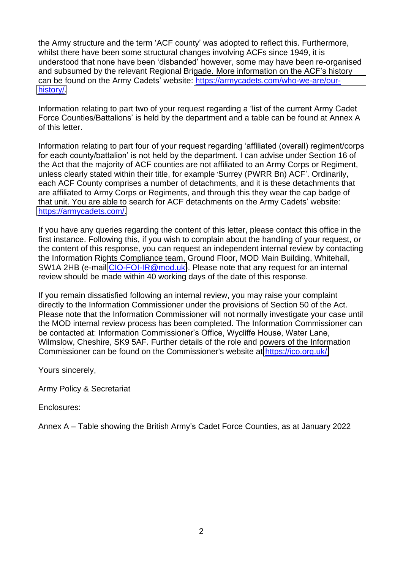the Army structure and the term 'ACF county' was adopted to reflect this. Furthermore, whilst there have been some structural changes involving ACFs since 1949, it is understood that none have been 'disbanded' however, some may have been re-organised and subsumed by the relevant Regional Brigade. More information on the ACF's history can be found on the Army Cadets' website: [https://armycadets.com/who-we-are/our](https://armycadets.com/who-we-are/our-history/)[history/.](https://armycadets.com/who-we-are/our-history/)

Information relating to part two of your request regarding a 'list of the current Army Cadet Force Counties/Battalions' is held by the department and a table can be found at Annex A of this letter.

Information relating to part four of your request regarding 'affiliated (overall) regiment/corps for each county/battalion' is not held by the department. I can advise under Section 16 of the Act that the majority of ACF counties are not affiliated to an Army Corps or Regiment, unless clearly stated within their title, for example 'Surrey (PWRR Bn) ACF'. Ordinarily, each ACF County comprises a number of detachments, and it is these detachments that are affiliated to Army Corps or Regiments, and through this they wear the cap badge of that unit. You are able to search for ACF detachments on the Army Cadets' website: [https://armycadets.com/.](https://armycadets.com/)

If you have any queries regarding the content of this letter, please contact this office in the first instance. Following this, if you wish to complain about the handling of your request, or the content of this response, you can request an independent internal review by contacting the Information Rights Compliance team, Ground Floor, MOD Main Building, Whitehall, SW1A 2HB (e-mail [CIO-FOI-IR@mod.uk\)](mailto:xxxxxxxxxx@xxx.xx). Please note that any request for an internal review should be made within 40 working days of the date of this response.

If you remain dissatisfied following an internal review, you may raise your complaint directly to the Information Commissioner under the provisions of Section 50 of the Act. Please note that the Information Commissioner will not normally investigate your case until the MOD internal review process has been completed. The Information Commissioner can be contacted at: Information Commissioner's Office, Wycliffe House, Water Lane, Wilmslow, Cheshire, SK9 5AF. Further details of the role and powers of the Information Commissioner can be found on the Commissioner's website at [https://ico.org.uk/.](https://ico.org.uk/)

Yours sincerely,

Army Policy & Secretariat

Enclosures:

Annex A – Table showing the British Army's Cadet Force Counties, as at January 2022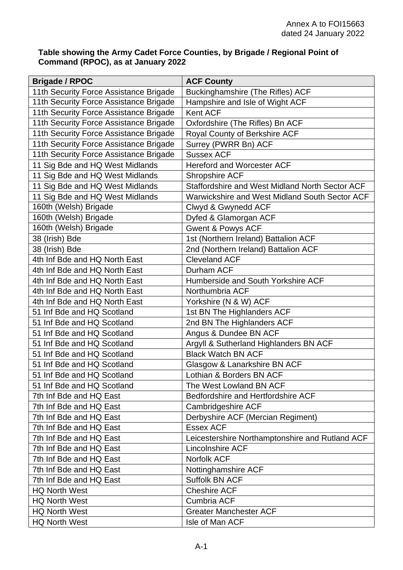## **Table showing the Army Cadet Force Counties, by Brigade / Regional Point of Command (RPOC), as at January 2022**

| <b>Brigade / RPOC</b>                  | <b>ACF County</b>                               |
|----------------------------------------|-------------------------------------------------|
| 11th Security Force Assistance Brigade | Buckinghamshire (The Rifles) ACF                |
| 11th Security Force Assistance Brigade | Hampshire and Isle of Wight ACF                 |
| 11th Security Force Assistance Brigade | Kent ACF                                        |
| 11th Security Force Assistance Brigade | Oxfordshire (The Rifles) Bn ACF                 |
| 11th Security Force Assistance Brigade | Royal County of Berkshire ACF                   |
| 11th Security Force Assistance Brigade | Surrey (PWRR Bn) ACF                            |
| 11th Security Force Assistance Brigade | <b>Sussex ACF</b>                               |
| 11 Sig Bde and HQ West Midlands        | <b>Hereford and Worcester ACF</b>               |
| 11 Sig Bde and HQ West Midlands        | <b>Shropshire ACF</b>                           |
| 11 Sig Bde and HQ West Midlands        | Staffordshire and West Midland North Sector ACF |
| 11 Sig Bde and HQ West Midlands        | Warwickshire and West Midland South Sector ACF  |
| 160th (Welsh) Brigade                  | Clwyd & Gwynedd ACF                             |
| 160th (Welsh) Brigade                  | Dyfed & Glamorgan ACF                           |
| 160th (Welsh) Brigade                  | <b>Gwent &amp; Powys ACF</b>                    |
| 38 (Irish) Bde                         | 1st (Northern Ireland) Battalion ACF            |
| 38 (Irish) Bde                         | 2nd (Northern Ireland) Battalion ACF            |
| 4th Inf Bde and HQ North East          | <b>Cleveland ACF</b>                            |
| 4th Inf Bde and HQ North East          | Durham ACF                                      |
| 4th Inf Bde and HQ North East          | Humberside and South Yorkshire ACF              |
| 4th Inf Bde and HQ North East          | Northumbria ACF                                 |
| 4th Inf Bde and HQ North East          | Yorkshire (N & W) ACF                           |
| 51 Inf Bde and HQ Scotland             | 1st BN The Highlanders ACF                      |
| 51 Inf Bde and HQ Scotland             | 2nd BN The Highlanders ACF                      |
| 51 Inf Bde and HQ Scotland             | Angus & Dundee BN ACF                           |
| 51 Inf Bde and HQ Scotland             | Argyll & Sutherland Highlanders BN ACF          |
| 51 Inf Bde and HQ Scotland             | <b>Black Watch BN ACF</b>                       |
| 51 Inf Bde and HQ Scotland             | Glasgow & Lanarkshire BN ACF                    |
| 51 Inf Bde and HQ Scotland             | Lothian & Borders BN ACF                        |
| 51 Inf Bde and HQ Scotland             | The West Lowland BN ACF                         |
| 7th Inf Bde and HQ East                | Bedfordshire and Hertfordshire ACF              |
| 7th Inf Bde and HQ East                | Cambridgeshire ACF                              |
| 7th Inf Bde and HQ East                | Derbyshire ACF (Mercian Regiment)               |
| 7th Inf Bde and HQ East                | <b>Essex ACF</b>                                |
| 7th Inf Bde and HQ East                | Leicestershire Northamptonshire and Rutland ACF |
| 7th Inf Bde and HQ East                | <b>Lincolnshire ACF</b>                         |
| 7th Inf Bde and HQ East                | <b>Norfolk ACF</b>                              |
| 7th Inf Bde and HQ East                | Nottinghamshire ACF                             |
| 7th Inf Bde and HQ East                | <b>Suffolk BN ACF</b>                           |
| <b>HQ North West</b>                   | <b>Cheshire ACF</b>                             |
| <b>HQ North West</b>                   | <b>Cumbria ACF</b>                              |
| <b>HQ North West</b>                   | <b>Greater Manchester ACF</b>                   |
| <b>HQ North West</b>                   | Isle of Man ACF                                 |